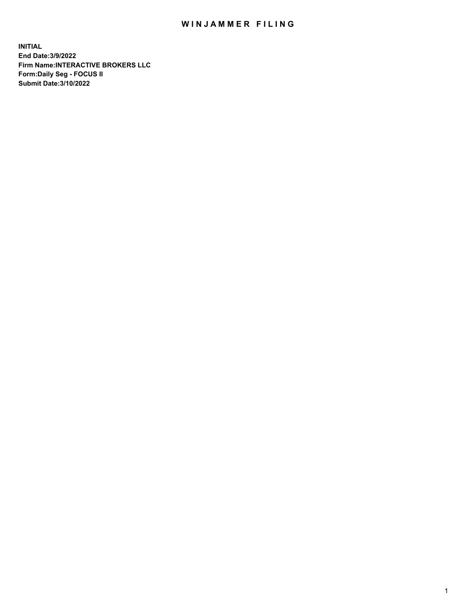## WIN JAMMER FILING

**INITIAL End Date:3/9/2022 Firm Name:INTERACTIVE BROKERS LLC Form:Daily Seg - FOCUS II Submit Date:3/10/2022**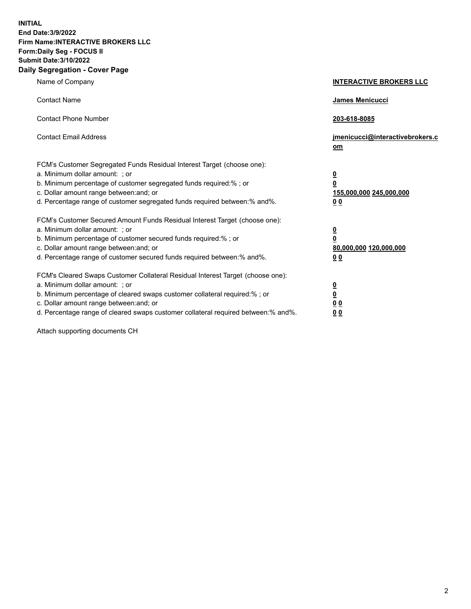**INITIAL End Date:3/9/2022 Firm Name:INTERACTIVE BROKERS LLC Form:Daily Seg - FOCUS II Submit Date:3/10/2022 Daily Segregation - Cover Page**

| Name of Company                                                                                                                                                                                                                                                                                                                | <b>INTERACTIVE BROKERS LLC</b>                                                                  |
|--------------------------------------------------------------------------------------------------------------------------------------------------------------------------------------------------------------------------------------------------------------------------------------------------------------------------------|-------------------------------------------------------------------------------------------------|
| <b>Contact Name</b>                                                                                                                                                                                                                                                                                                            | <b>James Menicucci</b>                                                                          |
| <b>Contact Phone Number</b>                                                                                                                                                                                                                                                                                                    | 203-618-8085                                                                                    |
| <b>Contact Email Address</b>                                                                                                                                                                                                                                                                                                   | jmenicucci@interactivebrokers.c<br>om                                                           |
| FCM's Customer Segregated Funds Residual Interest Target (choose one):<br>a. Minimum dollar amount: ; or<br>b. Minimum percentage of customer segregated funds required:% ; or<br>c. Dollar amount range between: and; or<br>d. Percentage range of customer segregated funds required between: % and %.                       | $\overline{\mathbf{0}}$<br>$\overline{\mathbf{0}}$<br>155,000,000 245,000,000<br>0 <sub>0</sub> |
| FCM's Customer Secured Amount Funds Residual Interest Target (choose one):<br>a. Minimum dollar amount: ; or<br>b. Minimum percentage of customer secured funds required:% ; or<br>c. Dollar amount range between: and; or<br>d. Percentage range of customer secured funds required between:% and%.                           | <u>0</u><br>$\overline{\mathbf{0}}$<br>80,000,000 120,000,000<br><u>00</u>                      |
| FCM's Cleared Swaps Customer Collateral Residual Interest Target (choose one):<br>a. Minimum dollar amount: ; or<br>b. Minimum percentage of cleared swaps customer collateral required:% ; or<br>c. Dollar amount range between: and; or<br>d. Percentage range of cleared swaps customer collateral required between:% and%. | <u>0</u><br>$\underline{\mathbf{0}}$<br>0 <sub>0</sub><br>00                                    |

Attach supporting documents CH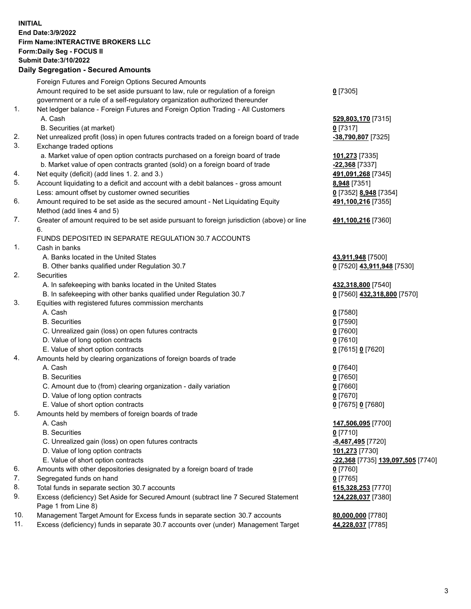**INITIAL End Date:3/9/2022 Firm Name:INTERACTIVE BROKERS LLC Form:Daily Seg - FOCUS II Submit Date:3/10/2022 Daily Segregation - Secured Amounts**

|     | Foreign Futures and Foreign Options Secured Amounts                                         |                                          |
|-----|---------------------------------------------------------------------------------------------|------------------------------------------|
|     | Amount required to be set aside pursuant to law, rule or regulation of a foreign            | $0$ [7305]                               |
|     | government or a rule of a self-regulatory organization authorized thereunder                |                                          |
| 1.  | Net ledger balance - Foreign Futures and Foreign Option Trading - All Customers             |                                          |
|     | A. Cash                                                                                     | 529,803,170 [7315]                       |
|     | B. Securities (at market)                                                                   | $0$ [7317]                               |
| 2.  | Net unrealized profit (loss) in open futures contracts traded on a foreign board of trade   | -38,790,807 [7325]                       |
| 3.  | Exchange traded options                                                                     |                                          |
|     | a. Market value of open option contracts purchased on a foreign board of trade              | 101,273 [7335]                           |
|     | b. Market value of open contracts granted (sold) on a foreign board of trade                | -22,368 [7337]                           |
| 4.  | Net equity (deficit) (add lines 1. 2. and 3.)                                               | 491,091,268 [7345]                       |
| 5.  | Account liquidating to a deficit and account with a debit balances - gross amount           | 8,948 [7351]                             |
|     | Less: amount offset by customer owned securities                                            | 0 [7352] 8,948 [7354]                    |
| 6.  | Amount required to be set aside as the secured amount - Net Liquidating Equity              | 491,100,216 [7355]                       |
|     | Method (add lines 4 and 5)                                                                  |                                          |
| 7.  | Greater of amount required to be set aside pursuant to foreign jurisdiction (above) or line | 491,100,216 [7360]                       |
|     | 6.<br>FUNDS DEPOSITED IN SEPARATE REGULATION 30.7 ACCOUNTS                                  |                                          |
| 1.  | Cash in banks                                                                               |                                          |
|     | A. Banks located in the United States                                                       | 43,911,948 [7500]                        |
|     | B. Other banks qualified under Regulation 30.7                                              | 0 [7520] 43,911,948 [7530]               |
| 2.  | Securities                                                                                  |                                          |
|     | A. In safekeeping with banks located in the United States                                   | 432,318,800 [7540]                       |
|     | B. In safekeeping with other banks qualified under Regulation 30.7                          | 0 [7560] 432,318,800 [7570]              |
| 3.  | Equities with registered futures commission merchants                                       |                                          |
|     | A. Cash                                                                                     | $0$ [7580]                               |
|     | <b>B.</b> Securities                                                                        | $0$ [7590]                               |
|     | C. Unrealized gain (loss) on open futures contracts                                         | $0$ [7600]                               |
|     | D. Value of long option contracts                                                           | $0$ [7610]                               |
|     | E. Value of short option contracts                                                          | 0 [7615] 0 [7620]                        |
| 4.  | Amounts held by clearing organizations of foreign boards of trade                           |                                          |
|     | A. Cash                                                                                     | $Q$ [7640]                               |
|     | <b>B.</b> Securities                                                                        | $0$ [7650]                               |
|     | C. Amount due to (from) clearing organization - daily variation                             | $0$ [7660]                               |
|     | D. Value of long option contracts                                                           | $0$ [7670]                               |
|     | E. Value of short option contracts                                                          | 0 [7675] 0 [7680]                        |
| 5.  | Amounts held by members of foreign boards of trade                                          |                                          |
|     | A. Cash                                                                                     | 147,506,095 [7700]                       |
|     | <b>B.</b> Securities                                                                        | $0$ [7710]                               |
|     | C. Unrealized gain (loss) on open futures contracts                                         | -8,487,495 <sup>[7720]</sup>             |
|     | D. Value of long option contracts                                                           | 101,273 [7730]                           |
|     | E. Value of short option contracts                                                          | <u>-22,368</u> [7735] 139,097,505 [7740] |
| 6.  | Amounts with other depositories designated by a foreign board of trade                      | $0$ [7760]                               |
| 7.  | Segregated funds on hand                                                                    | $0$ [7765]                               |
| 8.  | Total funds in separate section 30.7 accounts                                               | 615,328,253 [7770]                       |
| 9.  | Excess (deficiency) Set Aside for Secured Amount (subtract line 7 Secured Statement         | 124,228,037 [7380]                       |
|     | Page 1 from Line 8)                                                                         |                                          |
| 10. | Management Target Amount for Excess funds in separate section 30.7 accounts                 | 80,000,000 [7780]                        |
| 11. | Excess (deficiency) funds in separate 30.7 accounts over (under) Management Target          | 44,228,037 [7785]                        |
|     |                                                                                             |                                          |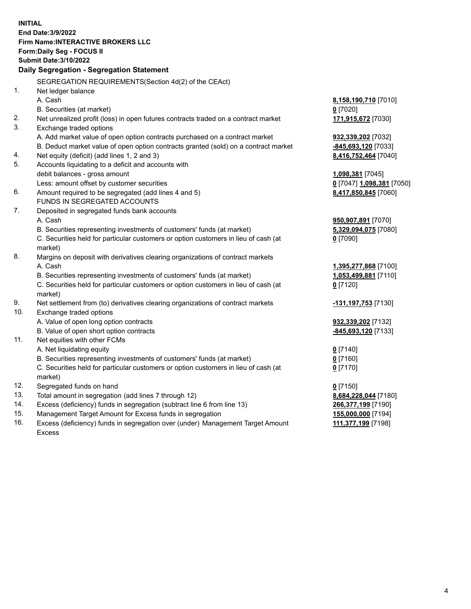**INITIAL End Date:3/9/2022 Firm Name:INTERACTIVE BROKERS LLC Form:Daily Seg - FOCUS II Submit Date:3/10/2022 Daily Segregation - Segregation Statement** SEGREGATION REQUIREMENTS(Section 4d(2) of the CEAct) 1. Net ledger balance A. Cash **8,158,190,710** [7010] B. Securities (at market) **0** [7020] 2. Net unrealized profit (loss) in open futures contracts traded on a contract market **171,915,672** [7030] 3. Exchange traded options A. Add market value of open option contracts purchased on a contract market **932,339,202** [7032] B. Deduct market value of open option contracts granted (sold) on a contract market **-845,693,120** [7033] 4. Net equity (deficit) (add lines 1, 2 and 3) **8,416,752,464** [7040] 5. Accounts liquidating to a deficit and accounts with debit balances - gross amount **1,098,381** [7045] Less: amount offset by customer securities **0** [7047] **1,098,381** [7050] 6. Amount required to be segregated (add lines 4 and 5) **8,417,850,845** [7060] FUNDS IN SEGREGATED ACCOUNTS 7. Deposited in segregated funds bank accounts A. Cash **950,907,891** [7070] B. Securities representing investments of customers' funds (at market) **5,329,094,075** [7080] C. Securities held for particular customers or option customers in lieu of cash (at market) **0** [7090] 8. Margins on deposit with derivatives clearing organizations of contract markets A. Cash **1,395,277,868** [7100] B. Securities representing investments of customers' funds (at market) **1,053,499,881** [7110] C. Securities held for particular customers or option customers in lieu of cash (at market) **0** [7120] 9. Net settlement from (to) derivatives clearing organizations of contract markets **-131,197,753** [7130] 10. Exchange traded options A. Value of open long option contracts **932,339,202** [7132] B. Value of open short option contracts **-845,693,120** [7133] 11. Net equities with other FCMs A. Net liquidating equity **0** [7140] B. Securities representing investments of customers' funds (at market) **0** [7160] C. Securities held for particular customers or option customers in lieu of cash (at market) **0** [7170] 12. Segregated funds on hand **0** [7150] 13. Total amount in segregation (add lines 7 through 12) **8,684,228,044** [7180] 14. Excess (deficiency) funds in segregation (subtract line 6 from line 13) **266,377,199** [7190] 15. Management Target Amount for Excess funds in segregation **155,000,000** [7194] 16. Excess (deficiency) funds in segregation over (under) Management Target Amount Excess **111,377,199** [7198]